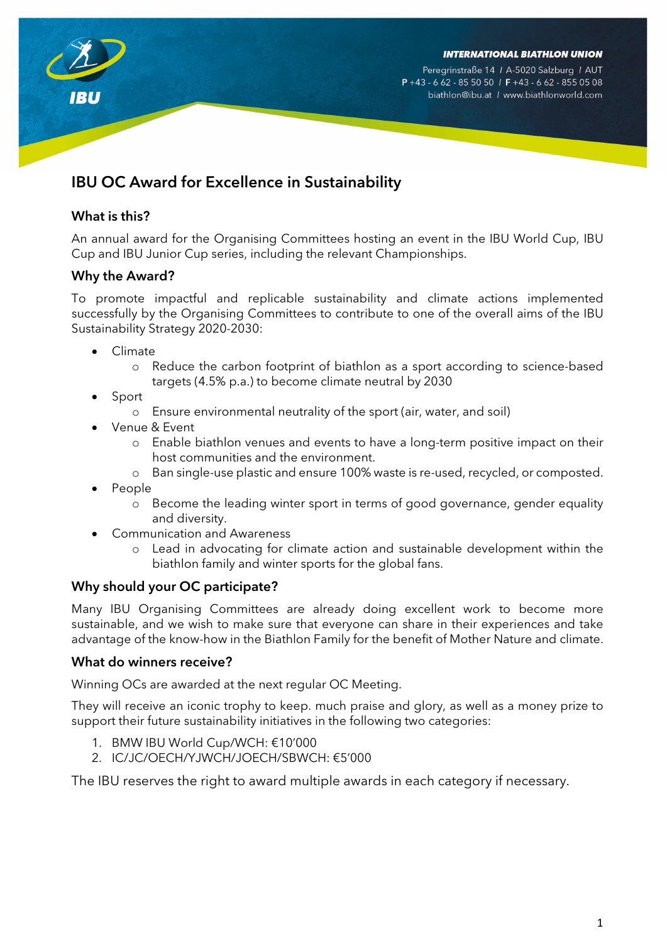

Peregrinstraße 14 / A-5020 Salzburg / AUT  $P + 43 - 662 - 855050$  /  $F + 43 - 662 - 8550508$ biathlon@ibu.at / www.biathlonworld.com

# IBU OC Award for Excellence in Sustainability

### What is this?

An annual award for the Organising Committees hosting an event in the IBU World Cup, IBU Cup and IBU Junior Cup series, including the relevant Championships.

## Why the Award?

To promote impactful and replicable sustainability and climate actions implemented successfully by the Organising Committees to contribute to one of the overall aims of the IBU Sustainability Strategy 2020-2030:

- Climate
	- o Reduce the carbon footprint of biathlon as a sport according to science-based targets (4.5% p.a.) to become climate neutral by 2030
- **Sport** 
	- o Ensure environmental neutrality of the sport (air, water, and soil)
- Venue & Event
	- o Enable biathlon venues and events to have a long-term positive impact on their host communities and the environment.
	- o Ban single-use plastic and ensure 100% waste is re-used, recycled, or composted.
- People
	- o Become the leading winter sport in terms of good governance, gender equality and diversity.
- Communication and Awareness
	- o Lead in advocating for climate action and sustainable development within the biathlon family and winter sports for the global fans.

#### Why should your OC participate?

Many IBU Organising Committees are already doing excellent work to become more sustainable, and we wish to make sure that everyone can share in their experiences and take advantage of the know-how in the Biathlon Family for the benefit of Mother Nature and climate.

#### What do winners receive?

Winning OCs are awarded at the next regular OC Meeting.

They will receive an iconic trophy to keep. much praise and glory, as well as a money prize to support their future sustainability initiatives in the following two categories:

- 1. BMW IBU World Cup/WCH: €10'000
- 2. IC/JC/OECH/YJWCH/JOECH/SBWCH: €5'000

The IBU reserves the right to award multiple awards in each category if necessary.